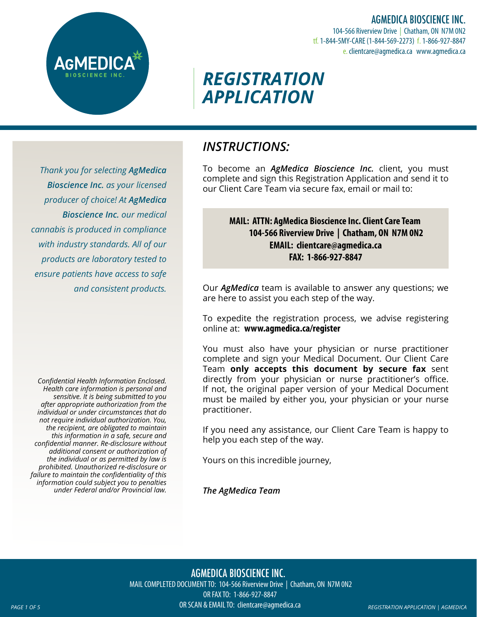AGMEDICA BIOSCIENCE INC.

104-566 Riverview Drive | Chatham, ON N7M 0N2 tf. 1-844-5MY-CARE (1-844-569-2273) f. 1-866-927-8847 e. clientcare@agmedica.ca www.agmedica.ca

# *REGISTRATION APPLICATION*

*Thank you for selecting AgMedica Bioscience Inc. as your licensed producer of choice! At AgMedica Bioscience Inc. our medical cannabis is produced in compliance with industry standards. All of our products are laboratory tested to ensure patients have access to safe and consistent products.*

*Confidential Health Information Enclosed. Health care information is personal and sensitive. It is being submitted to you after appropriate authorization from the individual or under circumstances that do not require individual authorization. You, the recipient, are obligated to maintain this information in a safe, secure and confidential manner. Re-disclosure without additional consent or authorization of the individual or as permitted by law is prohibited. Unauthorized re-disclosure or failure to maintain the confidentiality of this information could subject you to penalties under Federal and/or Provincial law.*

## *INSTRUCTIONS:*

To become an *AgMedica Bioscience Inc.* client, you must complete and sign this Registration Application and send it to our Client Care Team via secure fax, email or mail to:

### **MAIL: ATTN: AgMedica Bioscience Inc. Client Care Team 104-566 Riverview Drive | Chatham, ON N7M 0N2 EMAIL: clientcare@agmedica.ca FAX: 1-866-927-8847**

Our *AgMedica* team is available to answer any questions; we are here to assist you each step of the way.

To expedite the registration process, we advise registering online at: **www.agmedica.ca/register**

You must also have your physician or nurse practitioner complete and sign your Medical Document. Our Client Care Team **only accepts this document by secure fax** sent directly from your physician or nurse practitioner's office. If not, the original paper version of your Medical Document must be mailed by either you, your physician or your nurse practitioner.

If you need any assistance, our Client Care Team is happy to help you each step of the way.

Yours on this incredible journey,

*The AgMedica Team*

*PAGE 1 OF 5 REGISTRATION APPLICATION | AGMEDICA* AGMEDICA BIOSCIENCE INC. MAIL COMPLETED DOCUMENT TO: 104-566 Riverview Drive | Chatham, ON N7M 0N2 OR FAX TO: 1-866-927-8847 OR SCAN & EMAIL TO: clientcare@agmedica.ca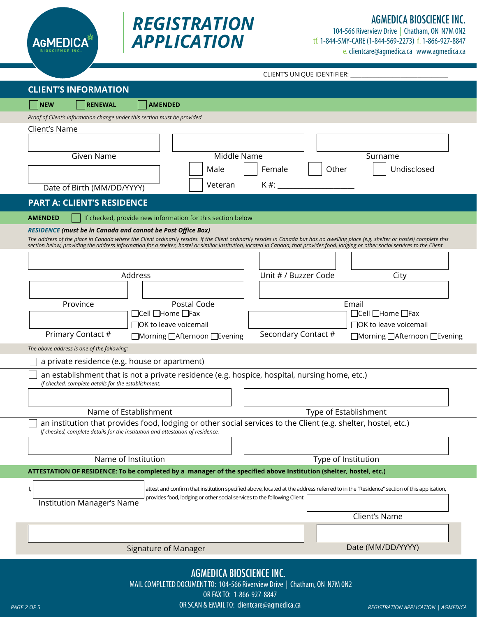



## AGMEDICA BIOSCIENCE INC.

104-566 Riverview Drive | Chatham, ON N7M 0N2 tf. 1-844-5MY-CARE (1-844-569-2273) f. 1-866-927-8847 e. clientcare@agmedica.ca www.agmedica.ca

CLIENT'S UNIQUE IDENTIFIER:

| <b>CLIENT'S INFORMATION</b>                                                                                                                                                                                                                                                                                                                                                                                                                        |  |  |  |
|----------------------------------------------------------------------------------------------------------------------------------------------------------------------------------------------------------------------------------------------------------------------------------------------------------------------------------------------------------------------------------------------------------------------------------------------------|--|--|--|
| <b>NEW</b><br><b>RENEWAL</b><br><b>AMENDED</b>                                                                                                                                                                                                                                                                                                                                                                                                     |  |  |  |
| Proof of Client's information change under this section must be provided                                                                                                                                                                                                                                                                                                                                                                           |  |  |  |
| Client's Name<br>Middle Name<br>Given Name<br>Surname<br>Male<br>Female<br>Other<br>Undisclosed                                                                                                                                                                                                                                                                                                                                                    |  |  |  |
| K #:<br>Veteran<br>Date of Birth (MM/DD/YYYY)                                                                                                                                                                                                                                                                                                                                                                                                      |  |  |  |
| <b>PART A: CLIENT'S RESIDENCE</b>                                                                                                                                                                                                                                                                                                                                                                                                                  |  |  |  |
| <b>AMENDED</b><br>If checked, provide new information for this section below                                                                                                                                                                                                                                                                                                                                                                       |  |  |  |
| <b>RESIDENCE (must be in Canada and cannot be Post Office Box)</b><br>The address of the place in Canada where the Client ordinarily resides. If the Client ordinarily resides in Canada but has no dwelling place (e.g. shelter or hostel) complete this<br>section below, providing the address information for a shelter, hostel or similar institution, located in Canada, that provides food, lodging or other social services to the Client. |  |  |  |
| Address<br>Unit # / Buzzer Code<br>City                                                                                                                                                                                                                                                                                                                                                                                                            |  |  |  |
| Postal Code<br>Email<br>Province<br>$\Box$ Cell $\Box$ Home $\Box$ Fax<br>$\Box$ Cell $\Box$ Home $\Box$ Fax<br>$\Box$ OK to leave voicemail<br>$\Box$ OK to leave voicemail<br>Primary Contact #<br>Secondary Contact #<br>□Morning □ Afternoon □ Evening<br>□Morning □Afternoon □Evening                                                                                                                                                         |  |  |  |
| The above address is one of the following:                                                                                                                                                                                                                                                                                                                                                                                                         |  |  |  |
| a private residence (e.g. house or apartment)                                                                                                                                                                                                                                                                                                                                                                                                      |  |  |  |
| an establishment that is not a private residence (e.g. hospice, hospital, nursing home, etc.)<br>If checked, complete details for the establishment.                                                                                                                                                                                                                                                                                               |  |  |  |
| Name of Establishment<br>Type of Establishment<br>an institution that provides food, lodging or other social services to the Client (e.g. shelter, hostel, etc.)                                                                                                                                                                                                                                                                                   |  |  |  |
| If checked, complete details for the institution and attestation of residence.                                                                                                                                                                                                                                                                                                                                                                     |  |  |  |
| Name of Institution<br>Type of Institution                                                                                                                                                                                                                                                                                                                                                                                                         |  |  |  |
| ATTESTATION OF RESIDENCE: To be completed by a manager of the specified above Institution (shelter, hostel, etc.)                                                                                                                                                                                                                                                                                                                                  |  |  |  |
| attest and confirm that institution specified above, located at the address referred to in the "Residence" section of this application,<br>provides food, lodging or other social services to the following Client:<br><b>Institution Manager's Name</b><br>Client's Name                                                                                                                                                                          |  |  |  |
|                                                                                                                                                                                                                                                                                                                                                                                                                                                    |  |  |  |
| Date (MM/DD/YYYY)<br>Signature of Manager                                                                                                                                                                                                                                                                                                                                                                                                          |  |  |  |
| <b>AGMEDICA BIOSCIENCE INC.</b><br>MAIL COMPLETED DOCUMENT TO: 104-566 Riverview Drive   Chatham, ON N7M ON2                                                                                                                                                                                                                                                                                                                                       |  |  |  |

OR FAX TO: 1-866-927-8847

*PAGE 2 OF 5 REGISTRATION APPLICATION | AGMEDICA* OR SCAN & EMAIL TO: clientcare@agmedica.ca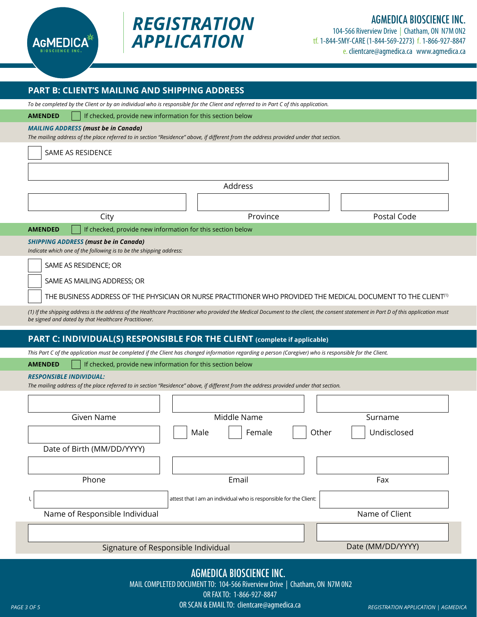

## AGMEDICA BIOSCIENCE INC.

104-566 Riverview Drive | Chatham, ON N7M 0N2 tf. 1-844-5MY-CARE (1-844-569-2273) f. 1-866-927-8847 e. clientcare@agmedica.ca www.agmedica.ca

| PART B: CLIENT'S MAILING AND SHIPPING ADDRESS                                                                                                                                                                                               |                                                                   |                      |  |
|---------------------------------------------------------------------------------------------------------------------------------------------------------------------------------------------------------------------------------------------|-------------------------------------------------------------------|----------------------|--|
| To be completed by the Client or by an individual who is responsible for the Client and referred to in Part C of this application.                                                                                                          |                                                                   |                      |  |
| <b>AMENDED</b><br>If checked, provide new information for this section below                                                                                                                                                                |                                                                   |                      |  |
| <b>MAILING ADDRESS (must be in Canada)</b><br>The mailing address of the place referred to in section "Residence" above, if different from the address provided under that section.                                                         |                                                                   |                      |  |
| SAME AS RESIDENCE                                                                                                                                                                                                                           |                                                                   |                      |  |
|                                                                                                                                                                                                                                             |                                                                   |                      |  |
|                                                                                                                                                                                                                                             |                                                                   |                      |  |
| Address                                                                                                                                                                                                                                     |                                                                   |                      |  |
|                                                                                                                                                                                                                                             |                                                                   |                      |  |
| City                                                                                                                                                                                                                                        | Province                                                          | Postal Code          |  |
| If checked, provide new information for this section below<br><b>AMENDED</b>                                                                                                                                                                |                                                                   |                      |  |
| <b>SHIPPING ADDRESS (must be in Canada)</b><br>Indicate which one of the following is to be the shipping address:                                                                                                                           |                                                                   |                      |  |
| SAME AS RESIDENCE; OR                                                                                                                                                                                                                       |                                                                   |                      |  |
| SAME AS MAILING ADDRESS; OR                                                                                                                                                                                                                 |                                                                   |                      |  |
|                                                                                                                                                                                                                                             |                                                                   |                      |  |
| THE BUSINESS ADDRESS OF THE PHYSICIAN OR NURSE PRACTITIONER WHO PROVIDED THE MEDICAL DOCUMENT TO THE CLIENT <sup>(1)</sup>                                                                                                                  |                                                                   |                      |  |
| (1) If the shipping address is the address of the Healthcare Practitioner who provided the Medical Document to the client, the consent statement in Part D of this application must<br>be signed and dated by that Healthcare Practitioner. |                                                                   |                      |  |
| PART C: INDIVIDUAL(S) RESPONSIBLE FOR THE CLIENT (complete if applicable)                                                                                                                                                                   |                                                                   |                      |  |
| This Part C of the application must be completed if the Client has changed information regarding a person (Caregiver) who is responsible for the Client.                                                                                    |                                                                   |                      |  |
| If checked, provide new information for this section below<br><b>AMENDED</b>                                                                                                                                                                |                                                                   |                      |  |
| <b>RESPONSIBLE INDIVIDUAL:</b><br>The mailing address of the place referred to in section "Residence" above, if different from the address provided under that section.                                                                     |                                                                   |                      |  |
|                                                                                                                                                                                                                                             |                                                                   |                      |  |
| Given Name                                                                                                                                                                                                                                  | Middle Name                                                       | Surname              |  |
|                                                                                                                                                                                                                                             |                                                                   |                      |  |
|                                                                                                                                                                                                                                             | Male<br>Female                                                    | Undisclosed<br>Other |  |
| Date of Birth (MM/DD/YYYY)                                                                                                                                                                                                                  |                                                                   |                      |  |
|                                                                                                                                                                                                                                             |                                                                   |                      |  |
| Phone                                                                                                                                                                                                                                       | Email                                                             | Fax                  |  |
|                                                                                                                                                                                                                                             |                                                                   |                      |  |
|                                                                                                                                                                                                                                             | attest that I am an individual who is responsible for the Client: |                      |  |
| Name of Responsible Individual                                                                                                                                                                                                              |                                                                   | Name of Client       |  |
|                                                                                                                                                                                                                                             |                                                                   |                      |  |
| Signature of Responsible Individual                                                                                                                                                                                                         |                                                                   | Date (MM/DD/YYYY)    |  |
|                                                                                                                                                                                                                                             |                                                                   |                      |  |

*REGISTRATION* 

*APPLICATION*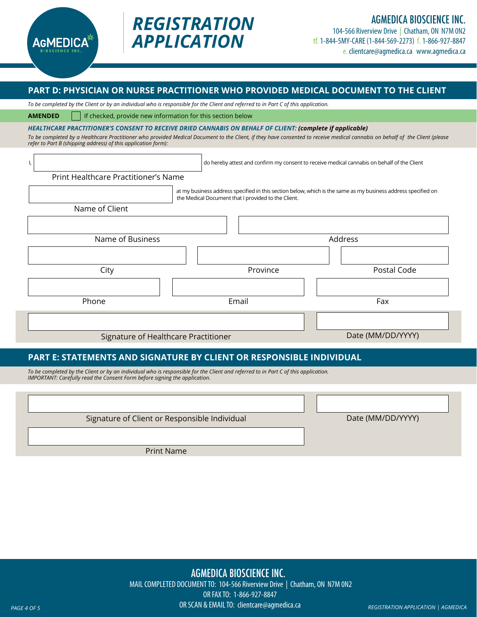

## *REGISTRATION APPLICATION*

104-566 Riverview Drive | Chatham, ON N7M 0N2 tf. 1-844-5MY-CARE (1-844-569-2273) f. 1-866-927-8847 e. clientcare@agmedica.ca www.agmedica.ca

#### **PART D: PHYSICIAN OR NURSE PRACTITIONER WHO PROVIDED MEDICAL DOCUMENT TO THE CLIENT**

*To be completed by the Client or by an individual who is responsible for the Client and referred to in Part C of this application.*

**AMENDED** If checked, provide new information for this section below

*HEALTHCARE PRACTITIONER'S CONSENT TO RECEIVE DRIED CANNABIS ON BEHALF OF CLIENT: (complete if applicable)*

*To be completed by a Healthcare Practitioner who provided Medical Document to the Client, if they have consented to receive medical cannabis on behalf of the Client (please refer to Part B (shipping address) of this application form):*

I,  $\vert$  at my business address specified in this section below, which is the same as my business address specified on the Medical Document that I provided to the Client. Print Healthcare Practitioner's Name Name of Client City Name of Business and the state of Business Address Province **Province** Postal Code Phone Email Fax Signature of Healthcare Practitioner Date (MM/DD/YYYY)

#### **PART E: STATEMENTS AND SIGNATURE BY CLIENT OR RESPONSIBLE INDIVIDUAL**

*To be completed by the Client or by an individual who is responsible for the Client and referred to in Part C of this application. IMPORTANT: Carefully read the Consent Form before signing the application.*

Signature of Client or Responsible Individual

Date (MM/DD/YYYY)

Print Name

*PAGE 4 OF 5 REGISTRATION APPLICATION | AGMEDICA* AGMEDICA BIOSCIENCE INC. MAIL COMPLETED DOCUMENT TO: 104-566 Riverview Drive | Chatham, ON N7M 0N2 OR FAX TO: 1-866-927-8847 OR SCAN & EMAIL TO: clientcare@agmedica.ca